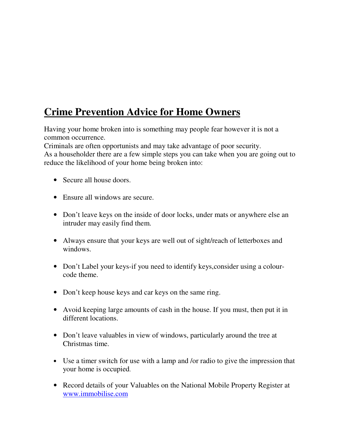## **Crime Prevention Advice for Home Owners**

Having your home broken into is something may people fear however it is not a common occurrence.

Criminals are often opportunists and may take advantage of poor security.

As a householder there are a few simple steps you can take when you are going out to reduce the likelihood of your home being broken into:

- Secure all house doors.
- Ensure all windows are secure.
- Don't leave keys on the inside of door locks, under mats or anywhere else an intruder may easily find them.
- Always ensure that your keys are well out of sight/reach of letterboxes and windows.
- Don't Label your keys-if you need to identify keys, consider using a colourcode theme.
- Don't keep house keys and car keys on the same ring.
- Avoid keeping large amounts of cash in the house. If you must, then put it in different locations.
- Don't leave valuables in view of windows, particularly around the tree at Christmas time.
- Use a timer switch for use with a lamp and /or radio to give the impression that your home is occupied.
- Record details of your Valuables on the National Mobile Property Register at www.immobilise.com